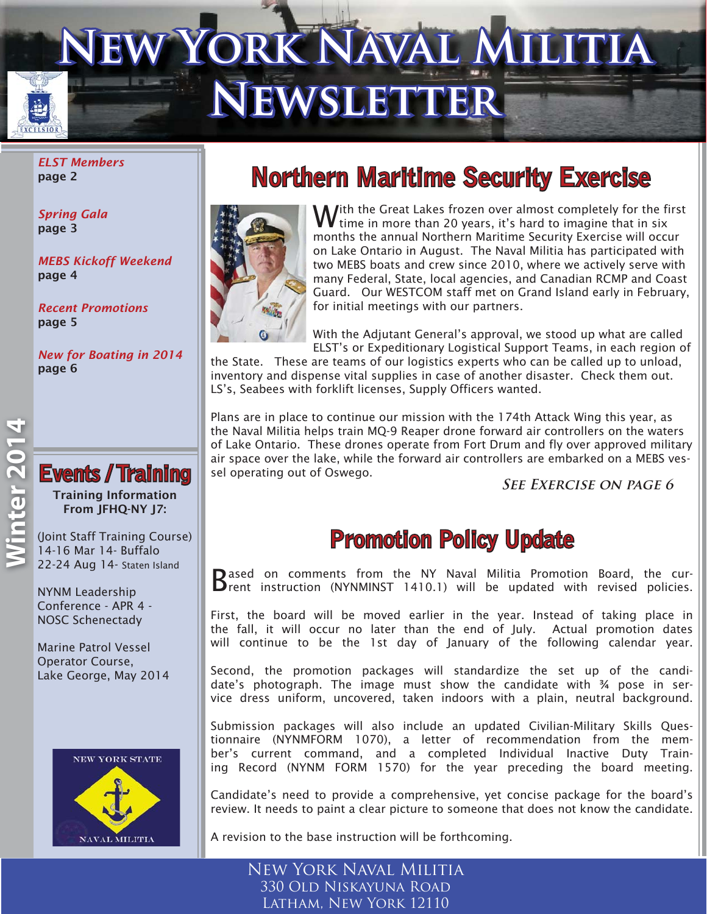# **W YORK NAVAL MILITIA NEWSLETTER**

*ELST Members*  page 2

*Spring Gala*  page 3

*MEBS Kickoff Weekend* page 4

*Recent Promotions* page 5

*New for Boating in 2014* page 6



### **Events / Training** Training Information

From JFHQ-NY J7:

(Joint Staff Training Course) 14-16 Mar 14- Buffalo 22-24 Aug 14- Staten Island

NYNM Leadership Conference - APR 4 - NOSC Schenectady

Marine Patrol Vessel Operator Course, Lake George, May 2014



### **Northern Maritime Security Exercise**



With the Great Lakes frozen over almost completely for the first time in more than 20 years, it's hard to imagine that in six months the annual Northern Maritime Security Exercise will occur on Lake Ontario in August. The Naval Militia has participated with two MEBS boats and crew since 2010, where we actively serve with many Federal, State, local agencies, and Canadian RCMP and Coast Guard. Our WESTCOM staff met on Grand Island early in February, for initial meetings with our partners.

With the Adjutant General's approval, we stood up what are called ELST's or Expeditionary Logistical Support Teams, in each region of

the State. These are teams of our logistics experts who can be called up to unload, inventory and dispense vital supplies in case of another disaster. Check them out. LS's, Seabees with forklift licenses, Supply Officers wanted.

Plans are in place to continue our mission with the 174th Attack Wing this year, as the Naval Militia helps train MQ-9 Reaper drone forward air controllers on the waters of Lake Ontario. These drones operate from Fort Drum and fly over approved military air space over the lake, while the forward air controllers are embarked on a MEBS vessel operating out of Oswego.

**See Exercise on page 6**

### **Promotion Policy Update**

Based on comments from the NY Naval Militia Promotion Board, the cur-<br>Brent instruction (NYNMINST 1410.1) will be updated with revised policies.

First, the board will be moved earlier in the year. Instead of taking place in the fall, it will occur no later than the end of July. Actual promotion dates will continue to be the 1st day of January of the following calendar year.

Second, the promotion packages will standardize the set up of the candidate's photograph. The image must show the candidate with ¾ pose in service dress uniform, uncovered, taken indoors with a plain, neutral background.

Submission packages will also include an updated Civilian-Military Skills Questionnaire (NYNMFORM 1070), a letter of recommendation from the member's current command, and a completed Individual Inactive Duty Training Record (NYNM FORM 1570) for the year preceding the board meeting.

Candidate's need to provide a comprehensive, yet concise package for the board's review. It needs to paint a clear picture to someone that does not know the candidate.

A revision to the base instruction will be forthcoming.

New York Naval Militia 330 Old Niskayuna Road Latham, New York 12110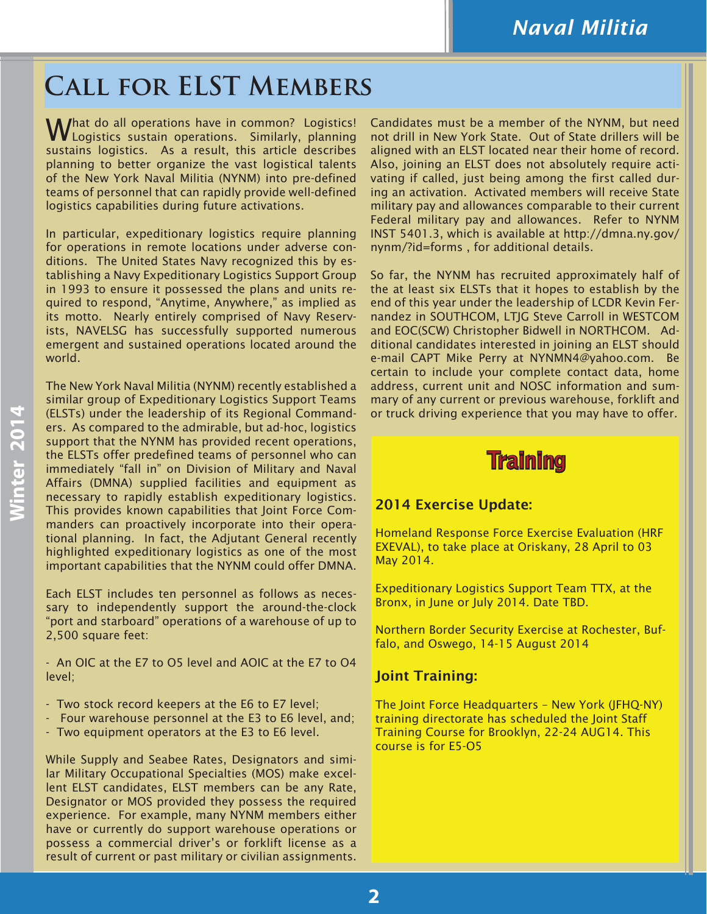### **Call for ELST Members**

What do all operations have in common? Logistics!<br>W Logistics sustain operations. Similarly, planning sustains logistics. As a result, this article describes planning to better organize the vast logistical talents of the New York Naval Militia (NYNM) into pre-defined teams of personnel that can rapidly provide well-defined logistics capabilities during future activations.

In particular, expeditionary logistics require planning for operations in remote locations under adverse conditions. The United States Navy recognized this by establishing a Navy Expeditionary Logistics Support Group in 1993 to ensure it possessed the plans and units required to respond, "Anytime, Anywhere," as implied as its motto. Nearly entirely comprised of Navy Reservists, NAVELSG has successfully supported numerous emergent and sustained operations located around the world.

The New York Naval Militia (NYNM) recently established a similar group of Expeditionary Logistics Support Teams (ELSTs) under the leadership of its Regional Commanders. As compared to the admirable, but ad-hoc, logistics support that the NYNM has provided recent operations, the ELSTs offer predefined teams of personnel who can immediately "fall in" on Division of Military and Naval Affairs (DMNA) supplied facilities and equipment as necessary to rapidly establish expeditionary logistics. This provides known capabilities that Joint Force Commanders can proactively incorporate into their operational planning. In fact, the Adjutant General recently highlighted expeditionary logistics as one of the most important capabilities that the NYNM could offer DMNA.

Each ELST includes ten personnel as follows as necessary to independently support the around-the-clock "port and starboard" operations of a warehouse of up to 2,500 square feet:

- An OIC at the E7 to O5 level and AOIC at the E7 to O4 level;

- Two stock record keepers at the E6 to E7 level;
- Four warehouse personnel at the E3 to E6 level, and;
- Two equipment operators at the E3 to E6 level.

While Supply and Seabee Rates, Designators and similar Military Occupational Specialties (MOS) make excellent ELST candidates, ELST members can be any Rate, Designator or MOS provided they possess the required experience. For example, many NYNM members either have or currently do support warehouse operations or possess a commercial driver's or forklift license as a result of current or past military or civilian assignments. Candidates must be a member of the NYNM, but need not drill in New York State. Out of State drillers will be aligned with an ELST located near their home of record. Also, joining an ELST does not absolutely require activating if called, just being among the first called during an activation. Activated members will receive State military pay and allowances comparable to their current Federal military pay and allowances. Refer to NYNM INST 5401.3, which is available at http://dmna.ny.gov/ nynm/?id=forms , for additional details.

So far, the NYNM has recruited approximately half of the at least six ELSTs that it hopes to establish by the end of this year under the leadership of LCDR Kevin Fernandez in SOUTHCOM, LTJG Steve Carroll in WESTCOM and EOC(SCW) Christopher Bidwell in NORTHCOM. Additional candidates interested in joining an ELST should e-mail CAPT Mike Perry at NYNMN4@yahoo.com. Be certain to include your complete contact data, home address, current unit and NOSC information and summary of any current or previous warehouse, forklift and or truck driving experience that you may have to offer.

### **Training raining**

### 2014 Exercise Update:

Homeland Response Force Exercise Evaluation (HRF EXEVAL), to take place at Oriskany, 28 April to 03 May 2014.

Expeditionary Logistics Support Team TTX, at the Bronx, in June or July 2014. Date TBD.

Northern Border Security Exercise at Rochester, Buffalo, and Oswego, 14-15 August 2014

### Joint Training:

The Joint Force Headquarters – New York (JFHQ-NY) training directorate has scheduled the Joint Staff Training Course for Brooklyn, 22-24 AUG14. This course is for E5-O5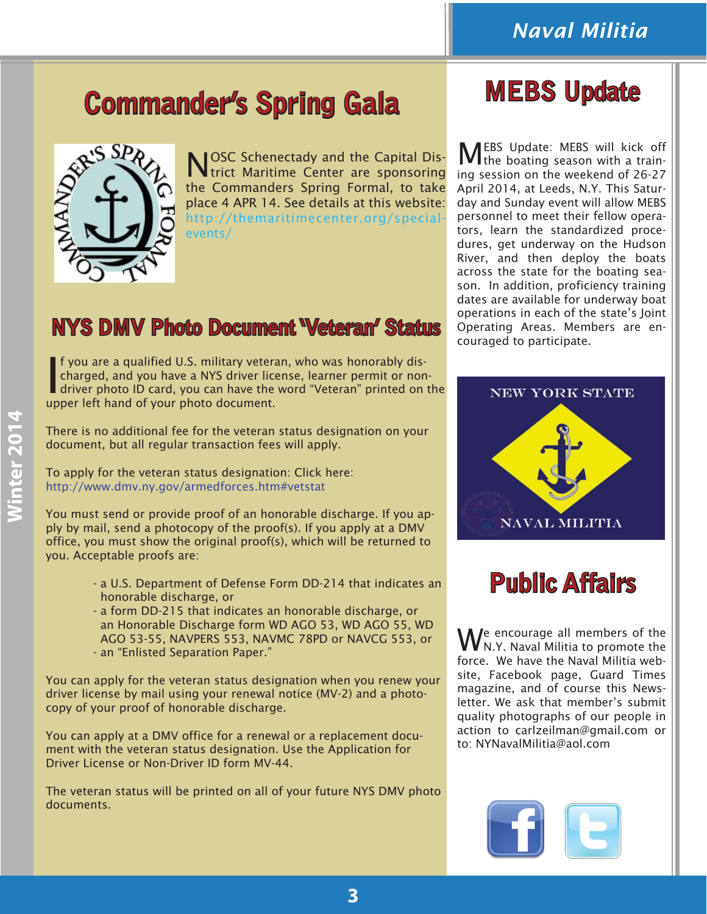## **Commander's Spring Gala MEBS Update**



NOSC Schenectady and the Capital Dis-trict Maritime Center are sponsoring the Commanders Spring Formal, to take place 4 APR 14. See details at this website: http://themaritimecenter.org/specialevents/

### **NYS DMV Photo Document 'Veteran' Status**

If you are a qualified U.S. military veters<br>charged, and you have a NYS driver lice<br>driver photo ID card, you can have the<br>upper left hand of your photo document. f you are a qualified U.S. military veteran, who was honorably discharged, and you have a NYS driver license, learner permit or nondriver photo ID card, you can have the word "Veteran" printed on the

There is no additional fee for the veteran status designation on your document, but all regular transaction fees will apply.

To apply for the veteran status designation: Click here: http://www.dmv.ny.gov/armedforces.htm#vetstat

You must send or provide proof of an honorable discharge. If you apply by mail, send a photocopy of the proof(s). If you apply at a DMV office, you must show the original proof(s), which will be returned to you. Acceptable proofs are:

- a U.S. Department of Defense Form DD-214 that indicates an honorable discharge, or
- a form DD-215 that indicates an honorable discharge, or an Honorable Discharge form WD AGO 53, WD AGO 55, WD AGO 53-55, NAVPERS 553, NAVMC 78PD or NAVCG 553, or - an "Enlisted Separation Paper."

You can apply for the veteran status designation when you renew your driver license by mail using your renewal notice (MV-2) and a photocopy of your proof of honorable discharge.

You can apply at a DMV office for a renewal or a replacement document with the veteran status designation. Use the Application for Driver License or Non-Driver ID form MV-44.

The veteran status will be printed on all of your future NYS DMV photo documents.

MEBS Update: MEBS will kick off the boating season with a training session on the weekend of 26-27 April 2014, at Leeds, N.Y. This Saturday and Sunday event will allow MEBS personnel to meet their fellow operators, learn the standardized procedures, get underway on the Hudson River, and then deploy the boats across the state for the boating season. In addition, proficiency training dates are available for underway boat operations in each of the state's Joint Operating Areas. Members are encouraged to participate.



### **Public Affairs**

We encourage all members of the<br>WN.Y. Naval Militia to promote the force. We have the Naval Militia website, Facebook page, Guard Times magazine, and of course this Newsletter. We ask that member's submit quality photographs of our people in action to carlzeilman@gmail.com or to: NYNavalMilitia@aol.com

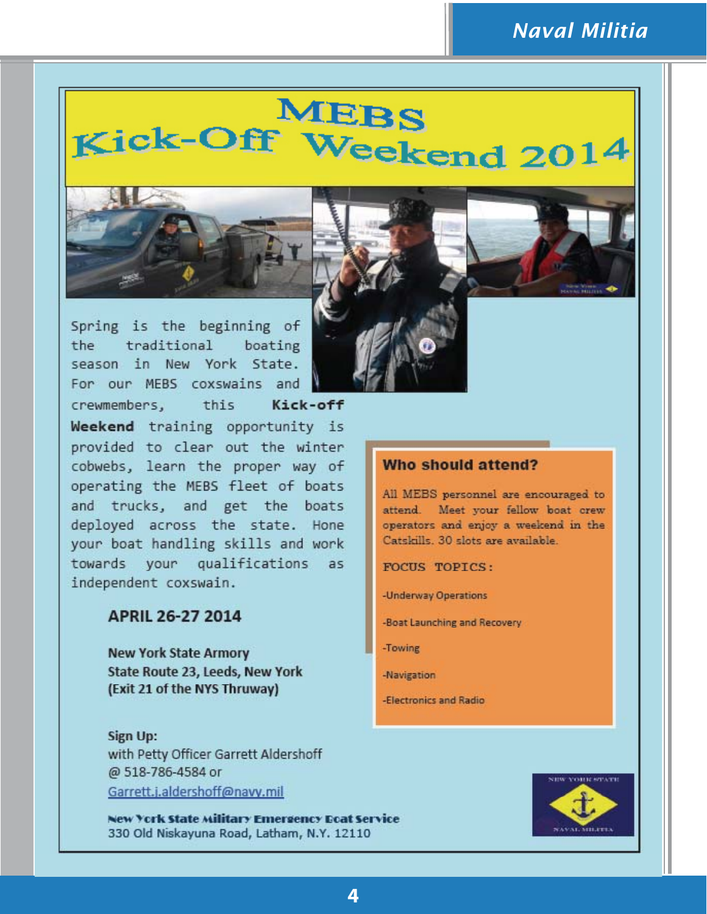### **Naval Militia**

## **MEBS** Kick-Off Weekend 2014



Spring is the beginning of traditional boating the season in New York State. For our MEBS coxswains and



### APRIL 26-27 2014

**New York State Armory** State Route 23, Leeds, New York (Exit 21 of the NYS Thruway)

Sign Up: with Petty Officer Garrett Aldershoff @ 518-786-4584 or Garrett.i.aldershoff@navy.mil

New York State Military Emergency Ecat Service 330 Old Niskayuna Road, Latham, N.Y. 12110





All MEBS personnel are encouraged to attend. Meet your fellow boat crew operators and enjoy a weekend in the Catskills. 30 slots are available.

**FOCUS TOPICS:** 

-Underway Operations

-Boat Launching and Recovery

-Towing

-Navigation

-Electronics and Radio

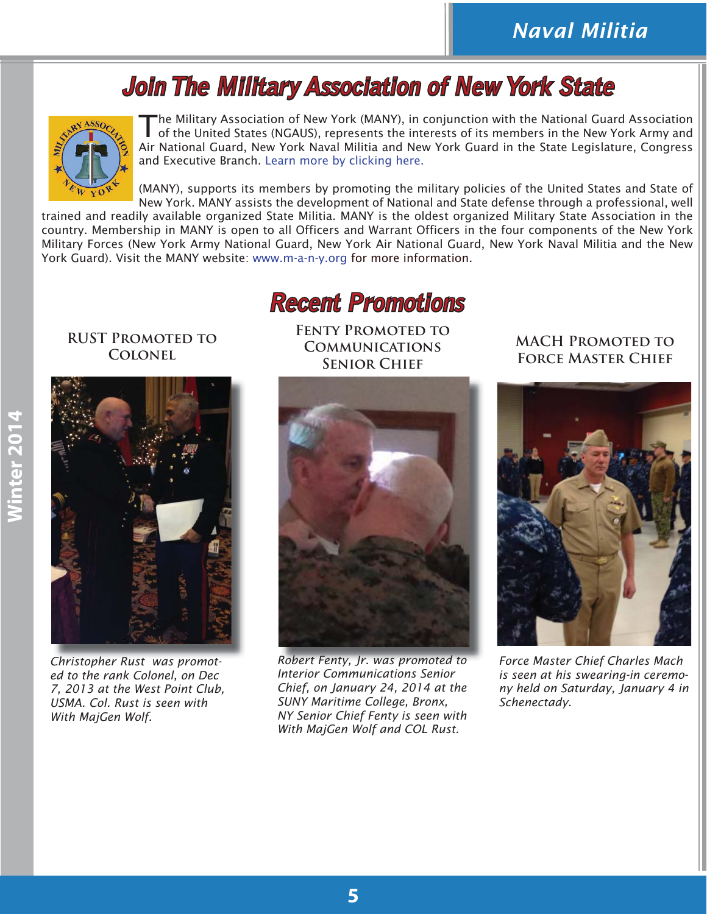### **Join The Military Association of New York State**



The Military Association of New York (MANY), in conjunction with the National Guard Association of the United States (NGAUS), represents the interests of its members in the New York Army and Air National Guard, New York Naval Militia and New York Guard in the State Legislature, Congress and Executive Branch. Learn more by clicking here.

(MANY), supports its members by promoting the military policies of the United States and State of New York. MANY assists the development of National and State defense through a professional, well

trained and readily available organized State Militia. MANY is the oldest organized Military State Association in the country. Membership in MANY is open to all Officers and Warrant Officers in the four components of the New York Military Forces (New York Army National Guard, New York Air National Guard, New York Naval Militia and the New York Guard). Visit the MANY website: www.m-a-n-y.org for more information.

### **Recent Promotions ecent**

**RUST Promoted to Colonel**



*Christopher Rust was promoted to the rank Colonel, on Dec 7, 2013 at the West Point Club, USMA. Col. Rust is seen with With MajGen Wolf.*

**Fenty Promoted to Communications Senior Chief**



*Robert Fenty, Jr. was promoted to Interior Communications Senior Chief, on January 24, 2014 at the SUNY Maritime College, Bronx, NY Senior Chief Fenty is seen with With MajGen Wolf and COL Rust.*

### **MACH Promoted to Force Master Chief**



*Force Master Chief Charles Mach is seen at his swearing-in ceremony held on Saturday, January 4 in Schenectady.*